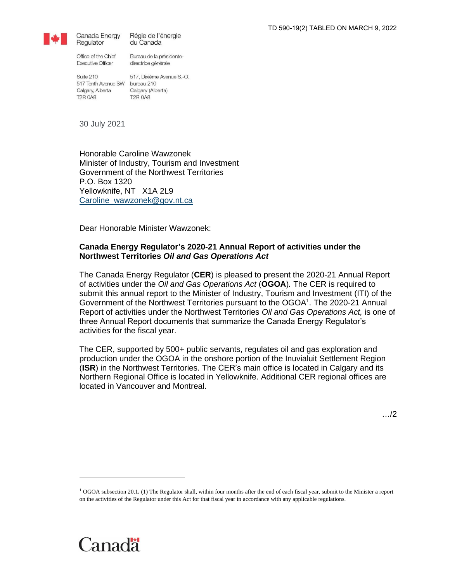

Régie de l'énergie Canada Energy du Canada

Office of the Chief **Executive Officer** 

Regulator

Bureau de la présidentedirectrice générale

Suite 210 517 Tenth Avenue SW bureau 210 Calgary, Alberta **T2R 0A8** 

517, Dixième Avenue S.-O. Calgary (Alberta) **T2R 0A8** 

30 July 2021

Honorable Caroline Wawzonek Minister of Industry, Tourism and Investment Government of the Northwest Territories P.O. Box 1320 Yellowknife, NT X1A 2L9 [Caroline\\_wawzonek@gov.nt.ca](mailto:Caroline_wawzonek@gov.nt.ca)

Dear Honorable Minister Wawzonek:

# **Canada Energy Regulator's 2020-21 Annual Report of activities under the Northwest Territories** *Oil and Gas Operations Act*

The Canada Energy Regulator (**CER**) is pleased to present the 2020-21 Annual Report of activities under the *Oil and Gas Operations Act* (**OGOA**)*.* The CER is required to submit this annual report to the Minister of Industry, Tourism and Investment (ITI) of the Government of the Northwest Territories pursuant to the OGOA<sup>1</sup>. The 2020-21 Annual Report of activities under the Northwest Territories *Oil and Gas Operations Act,* is one of three Annual Report documents that summarize the Canada Energy Regulator's activities for the fiscal year.

The CER, supported by 500+ public servants, regulates oil and gas exploration and production under the OGOA in the onshore portion of the Inuvialuit Settlement Region (**ISR**) in the Northwest Territories. The CER's main office is located in Calgary and its Northern Regional Office is located in Yellowknife. Additional CER regional offices are located in Vancouver and Montreal.

<sup>1</sup> OGOA subsection 20.1**.** (1) The Regulator shall, within four months after the end of each fiscal year, submit to the Minister a report on the activities of the Regulator under this Act for that fiscal year in accordance with any applicable regulations.

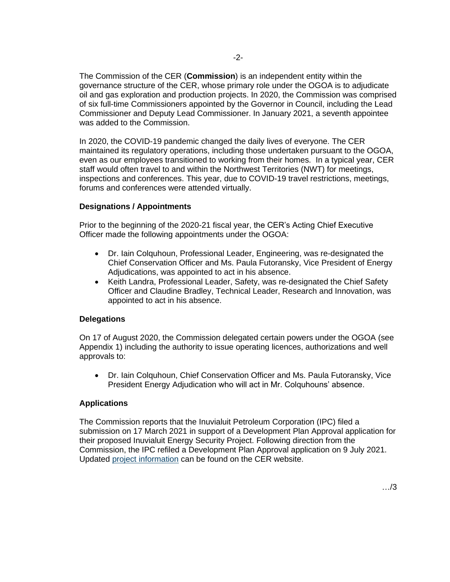The Commission of the CER (**Commission**) is an independent entity within the governance structure of the CER, whose primary role under the OGOA is to adjudicate oil and gas exploration and production projects. In 2020, the Commission was comprised of six full-time Commissioners appointed by the Governor in Council, including the Lead Commissioner and Deputy Lead Commissioner. In January 2021, a seventh appointee was added to the Commission.

In 2020, the COVID-19 pandemic changed the daily lives of everyone. The CER maintained its regulatory operations, including those undertaken pursuant to the OGOA, even as our employees transitioned to working from their homes. In a typical year, CER staff would often travel to and within the Northwest Territories (NWT) for meetings, inspections and conferences. This year, due to COVID-19 travel restrictions, meetings, forums and conferences were attended virtually.

# **Designations / Appointments**

Prior to the beginning of the 2020-21 fiscal year, the CER's Acting Chief Executive Officer made the following appointments under the OGOA:

- Dr. Iain Colquhoun, Professional Leader, Engineering, was re-designated the Chief Conservation Officer and Ms. Paula Futoransky, Vice President of Energy Adjudications, was appointed to act in his absence.
- Keith Landra, Professional Leader, Safety, was re-designated the Chief Safety Officer and Claudine Bradley, Technical Leader, Research and Innovation, was appointed to act in his absence.

## **Delegations**

On 17 of August 2020, the Commission delegated certain powers under the OGOA (see Appendix 1) including the authority to issue operating licences, authorizations and well approvals to:

• Dr. Iain Colquhoun, Chief Conservation Officer and Ms. Paula Futoransky, Vice President Energy Adjudication who will act in Mr. Colquhouns' absence.

## **Applications**

The Commission reports that the Inuvialuit Petroleum Corporation (IPC) filed a submission on 17 March 2021 in support of a Development Plan Approval application for their proposed Inuvialuit Energy Security Project. Following direction from the Commission, the IPC refiled a Development Plan Approval application on 9 July 2021. Updated [project information](https://www.cer-rec.gc.ca/en/applications-hearings/view-applications-projects/inuvialuit-petroleum-corporation-inuvialuit-energy-security-project/index.html) can be found on the CER website.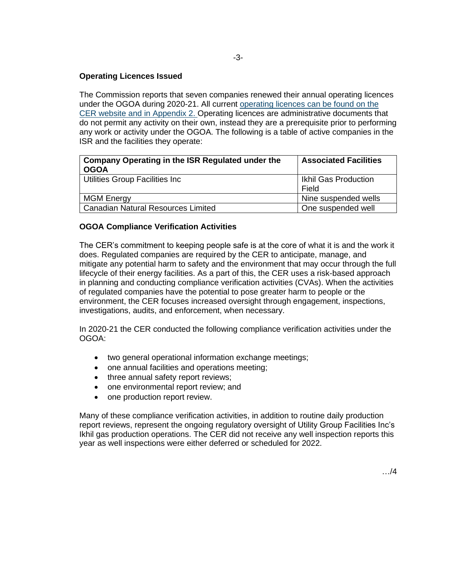# **Operating Licences Issued**

The Commission reports that seven companies renewed their annual operating licences under the OGOA during 2020-21. All current [operating licences](https://www.cer-rec.gc.ca/en/about/north-offshore/active-operating-licences.html) can be found on the CER website and in Appendix 2. Operating licences are administrative documents that do not permit any activity on their own, instead they are a prerequisite prior to performing any work or activity under the OGOA. The following is a table of active companies in the ISR and the facilities they operate:

| Company Operating in the ISR Regulated under the<br><b>OGOA</b> | <b>Associated Facilities</b>         |
|-----------------------------------------------------------------|--------------------------------------|
| Utilities Group Facilities Inc                                  | <b>Ikhil Gas Production</b><br>Field |
| <b>MGM Energy</b>                                               | Nine suspended wells                 |
| <b>Canadian Natural Resources Limited</b>                       | One suspended well                   |

# **OGOA Compliance Verification Activities**

The CER's commitment to keeping people safe is at the core of what it is and the work it does. Regulated companies are required by the CER to anticipate, manage, and mitigate any potential harm to safety and the environment that may occur through the full lifecycle of their energy facilities. As a part of this, the CER uses a risk-based approach in planning and conducting compliance verification activities (CVAs). When the activities of regulated companies have the potential to pose greater harm to people or the environment, the CER focuses increased oversight through engagement, inspections, investigations, audits, and enforcement, when necessary.

In 2020-21 the CER conducted the following compliance verification activities under the OGOA:

- two general operational information exchange meetings;
- one annual facilities and operations meeting;
- three annual safety report reviews;
- one environmental report review; and
- one production report review.

Many of these compliance verification activities, in addition to routine daily production report reviews, represent the ongoing regulatory oversight of Utility Group Facilities Inc's Ikhil gas production operations. The CER did not receive any well inspection reports this year as well inspections were either deferred or scheduled for 2022.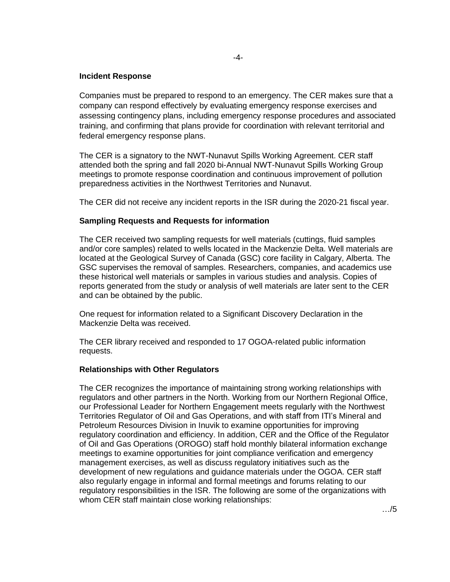## **Incident Response**

Companies must be prepared to respond to an emergency. The CER makes sure that a company can respond effectively by evaluating emergency response exercises and assessing contingency plans, including emergency response procedures and associated training, and confirming that plans provide for coordination with relevant territorial and federal emergency response plans.

The CER is a signatory to the NWT-Nunavut Spills Working Agreement. CER staff attended both the spring and fall 2020 bi-Annual NWT-Nunavut Spills Working Group meetings to promote response coordination and continuous improvement of pollution preparedness activities in the Northwest Territories and Nunavut.

The CER did not receive any incident reports in the ISR during the 2020-21 fiscal year.

#### **Sampling Requests and Requests for information**

The CER received two sampling requests for well materials (cuttings, fluid samples and/or core samples) related to wells located in the Mackenzie Delta. Well materials are located at the Geological Survey of Canada (GSC) core facility in Calgary, Alberta. The GSC supervises the removal of samples. Researchers, companies, and academics use these historical well materials or samples in various studies and analysis. Copies of reports generated from the study or analysis of well materials are later sent to the CER and can be obtained by the public.

One request for information related to a Significant Discovery Declaration in the Mackenzie Delta was received.

The CER library received and responded to 17 OGOA-related public information requests.

#### **Relationships with Other Regulators**

The CER recognizes the importance of maintaining strong working relationships with regulators and other partners in the North. Working from our Northern Regional Office, our Professional Leader for Northern Engagement meets regularly with the Northwest Territories Regulator of Oil and Gas Operations, and with staff from ITI's Mineral and Petroleum Resources Division in Inuvik to examine opportunities for improving regulatory coordination and efficiency. In addition, CER and the Office of the Regulator of Oil and Gas Operations (OROGO) staff hold monthly bilateral information exchange meetings to examine opportunities for joint compliance verification and emergency management exercises, as well as discuss regulatory initiatives such as the development of new regulations and guidance materials under the OGOA. CER staff also regularly engage in informal and formal meetings and forums relating to our regulatory responsibilities in the ISR. The following are some of the organizations with whom CER staff maintain close working relationships: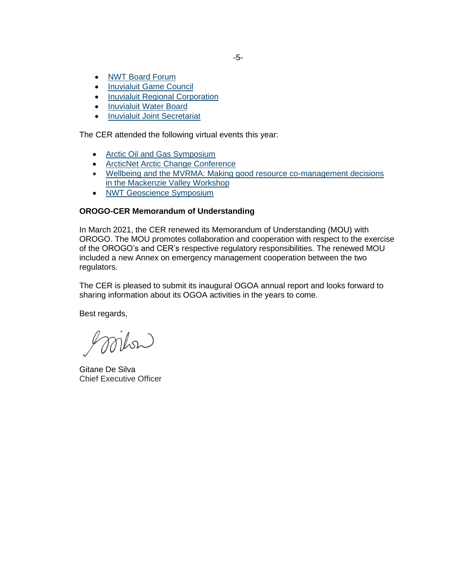- [NWT Board Forum](https://www.nwtboardforum.com/)
- [Inuvialuit Game Council](http://www.ifa101.com/node/1705)
- [Inuvialuit Regional Corporation](https://irc.inuvialuit.com/)
- [Inuvialuit Water Board](https://www.inuvwb.ca/)
- [Inuvialuit Joint Secretariat](https://www.jointsecretariat.ca/)

The CER attended the following virtual events this year:

- [Arctic Oil and Gas Symposium](https://www.canadianinstitute.com/arctic-oil-gas-symposium/)
- [ArcticNet Arctic Change Conference](https://arcticnetmeetings.ca/ac2020/home)
- [Wellbeing and the MVRMA: Making good resource co-management decisions](https://mvlwb.com/2021-mvrma-workshop)  [in the Mackenzie Valley Workshop](https://mvlwb.com/2021-mvrma-workshop)
- [NWT Geoscience Symposium](https://www.nwtgeoscience.ca/news/2020-geoscience-symposium)

## **OROGO-CER Memorandum of Understanding**

In March 2021, the CER renewed its Memorandum of Understanding (MOU) with OROGO. The MOU promotes collaboration and cooperation with respect to the exercise of the OROGO's and CER's respective regulatory responsibilities. The renewed MOU included a new Annex on emergency management cooperation between the two regulators.

The CER is pleased to submit its inaugural OGOA annual report and looks forward to sharing information about its OGOA activities in the years to come.

Best regards,

goriton

Gitane De Silva Chief Executive Officer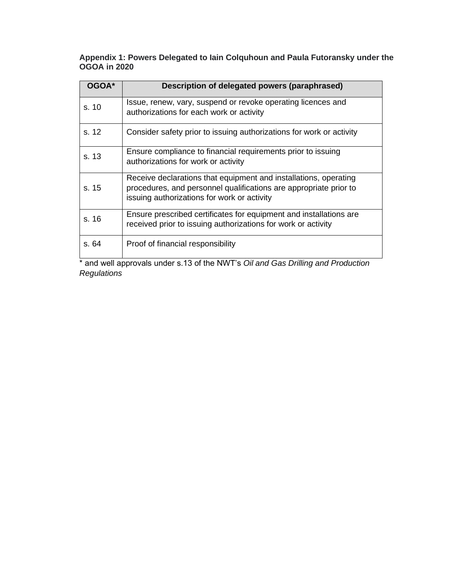**Appendix 1: Powers Delegated to Iain Colquhoun and Paula Futoransky under the OGOA in 2020**

| OGOA* | Description of delegated powers (paraphrased)                                                                                                                                        |
|-------|--------------------------------------------------------------------------------------------------------------------------------------------------------------------------------------|
| s. 10 | Issue, renew, vary, suspend or revoke operating licences and<br>authorizations for each work or activity                                                                             |
| s. 12 | Consider safety prior to issuing authorizations for work or activity                                                                                                                 |
| s. 13 | Ensure compliance to financial requirements prior to issuing<br>authorizations for work or activity                                                                                  |
| s.15  | Receive declarations that equipment and installations, operating<br>procedures, and personnel qualifications are appropriate prior to<br>issuing authorizations for work or activity |
| s. 16 | Ensure prescribed certificates for equipment and installations are<br>received prior to issuing authorizations for work or activity                                                  |
| s. 64 | Proof of financial responsibility                                                                                                                                                    |

\* and well approvals under s.13 of the NWT's *Oil and Gas Drilling and Production Regulations*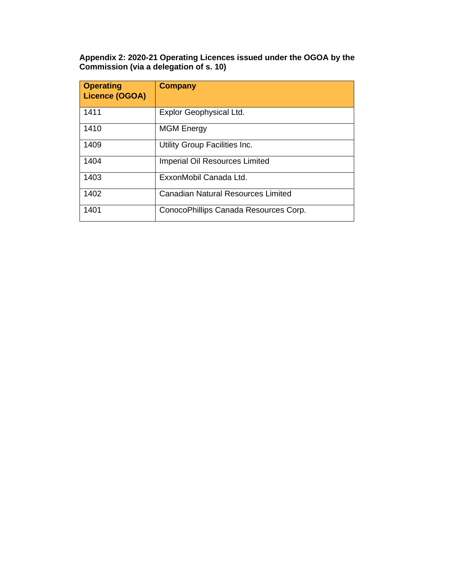**Appendix 2: 2020-21 Operating Licences issued under the OGOA by the Commission (via a delegation of s. 10)**

| <b>Operating</b><br><b>Licence (OGOA)</b> | <b>Company</b>                            |
|-------------------------------------------|-------------------------------------------|
| 1411                                      | Explor Geophysical Ltd.                   |
| 1410                                      | <b>MGM Energy</b>                         |
| 1409                                      | Utility Group Facilities Inc.             |
| 1404                                      | <b>Imperial Oil Resources Limited</b>     |
| 1403                                      | ExxonMobil Canada Ltd.                    |
| 1402                                      | <b>Canadian Natural Resources Limited</b> |
| 1401                                      | ConocoPhillips Canada Resources Corp.     |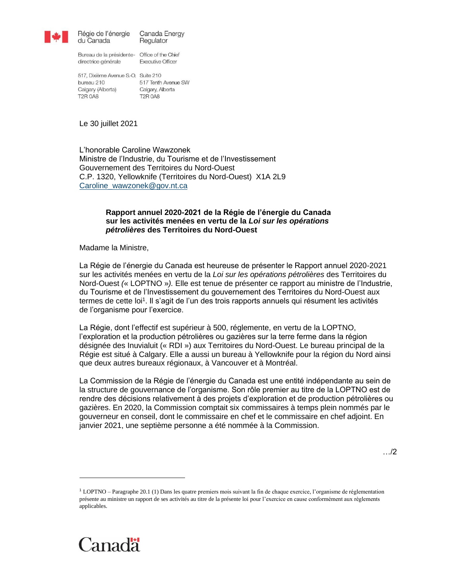

Régie de l'énergie Canada Energy du Canada Regulator

Bureau de la présidente- Office of the Chief directrice générale

**Executive Officer** 

517, Dixième Avenue S.-O. Suite 210 517 Tenth Avenue SW bureau 210 Calgary (Alberta) Calgary, Alberta **T2R 0A8 T2R 0A8** 

Le 30 juillet 2021

L'honorable Caroline Wawzonek Ministre de l'Industrie, du Tourisme et de l'Investissement Gouvernement des Territoires du Nord-Ouest C.P. 1320, Yellowknife (Territoires du Nord-Ouest) X1A 2L9 [Caroline\\_wawzonek@gov.nt.ca](mailto:Caroline_wawzonek@gov.nt.ca)

### **Rapport annuel 2020-2021 de la Régie de l'énergie du Canada sur les activités menées en vertu de la** *Loi sur les opérations pétrolières* **des Territoires du Nord-Ouest**

Madame la Ministre,

La Régie de l'énergie du Canada est heureuse de présenter le Rapport annuel 2020-2021 sur les activités menées en vertu de la *Loi sur les opérations pétrolières* des Territoires du Nord-Ouest *(*« LOPTNO »*).* Elle est tenue de présenter ce rapport au ministre de l'Industrie, du Tourisme et de l'Investissement du gouvernement des Territoires du Nord-Ouest aux termes de cette loi<sup>1</sup>. Il s'agit de l'un des trois rapports annuels qui résument les activités de l'organisme pour l'exercice.

La Régie, dont l'effectif est supérieur à 500, réglemente, en vertu de la LOPTNO, l'exploration et la production pétrolières ou gazières sur la terre ferme dans la région désignée des Inuvialuit (« RDI ») aux Territoires du Nord-Ouest. Le bureau principal de la Régie est situé à Calgary. Elle a aussi un bureau à Yellowknife pour la région du Nord ainsi que deux autres bureaux régionaux, à Vancouver et à Montréal.

La Commission de la Régie de l'énergie du Canada est une entité indépendante au sein de la structure de gouvernance de l'organisme. Son rôle premier au titre de la LOPTNO est de rendre des décisions relativement à des projets d'exploration et de production pétrolières ou gazières. En 2020, la Commission comptait six commissaires à temps plein nommés par le gouverneur en conseil, dont le commissaire en chef et le commissaire en chef adjoint. En janvier 2021, une septième personne a été nommée à la Commission.

<sup>1</sup> LOPTNO – Paragraphe 20.1 (1) Dans les quatre premiers mois suivant la fin de chaque exercice, l'organisme de réglementation présente au ministre un rapport de ses activités au titre de la présente loi pour l'exercice en cause conformément aux règlements applicables.

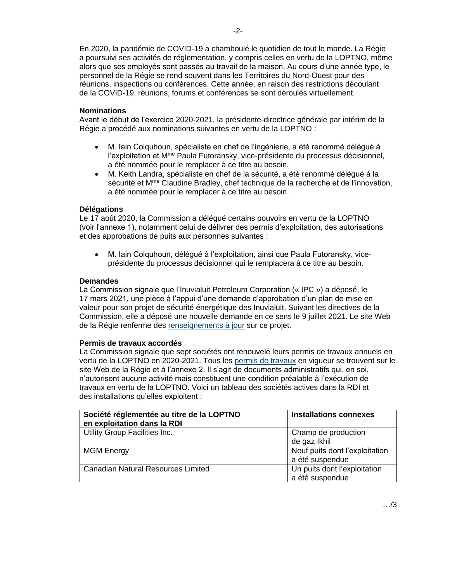En 2020, la pandémie de COVID-19 a chamboulé le quotidien de tout le monde. La Régie a poursuivi ses activités de réglementation, y compris celles en vertu de la LOPTNO, même alors que ses employés sont passés au travail de la maison. Au cours d'une année type, le personnel de la Régie se rend souvent dans les Territoires du Nord-Ouest pour des réunions, inspections ou conférences. Cette année, en raison des restrictions découlant de la COVID-19, réunions, forums et conférences se sont déroulés virtuellement.

# **Nominations**

Avant le début de l'exercice 2020-2021, la présidente-directrice générale par intérim de la Régie a procédé aux nominations suivantes en vertu de la LOPTNO :

- M. Iain Colquhoun, spécialiste en chef de l'ingénierie, a été renommé délégué à l'exploitation et Mme Paula Futoransky, vice-présidente du processus décisionnel, a été nommée pour le remplacer à ce titre au besoin.
- M. Keith Landra, spécialiste en chef de la sécurité, a été renommé délégué à la sécurité et M<sup>me</sup> Claudine Bradley, chef technique de la recherche et de l'innovation, a été nommée pour le remplacer à ce titre au besoin.

# **Délégations**

Le 17 août 2020, la Commission a délégué certains pouvoirs en vertu de la LOPTNO (voir l'annexe 1), notamment celui de délivrer des permis d'exploitation, des autorisations et des approbations de puits aux personnes suivantes :

• M. Iain Colquhoun, délégué à l'exploitation, ainsi que Paula Futoransky, viceprésidente du processus décisionnel qui le remplacera à ce titre au besoin.

## **Demandes**

La Commission signale que l'Inuvialuit Petroleum Corporation (« IPC ») a déposé, le 17 mars 2021, une pièce à l'appui d'une demande d'approbation d'un plan de mise en valeur pour son projet de sécurité énergétique des Inuvialuit. Suivant les directives de la Commission, elle a déposé une nouvelle demande en ce sens le 9 juillet 2021. Le site Web de la Régie renferme des [renseignements à jour](https://www.cer-rec.gc.ca/fr/demandes-audiences/voir-demandes-projets/inuvialuit-petroleum-corporation-projet-de-securite-energetique-des-inuvialuit/index.html) sur ce projet.

## **Permis de travaux accordés**

La Commission signale que sept sociétés ont renouvelé leurs permis de travaux annuels en vertu de la LOPTNO en 2020-2021. Tous les [permis de travaux](https://www.cer-rec.gc.ca/fr/regie/nord-zones-extracotieres/permis-dexploitation-actifs.html) en vigueur se trouvent sur le site Web de la Régie et à l'annexe 2. Il s'agit de documents administratifs qui, en soi, n'autorisent aucune activité mais constituent une condition préalable à l'exécution de travaux en vertu de la LOPTNO. Voici un tableau des sociétés actives dans la RDI et des installations qu'elles exploitent :

| Société réglementée au titre de la LOPTNO<br>en exploitation dans la RDI | <b>Installations connexes</b>  |
|--------------------------------------------------------------------------|--------------------------------|
| Utility Group Facilities Inc.                                            | Champ de production            |
|                                                                          | de gaz Ikhil                   |
| <b>MGM Energy</b>                                                        | Neuf puits dont l'exploitation |
|                                                                          | a été suspendue                |
| <b>Canadian Natural Resources Limited</b>                                | Un puits dont l'exploitation   |
|                                                                          | a été suspendue                |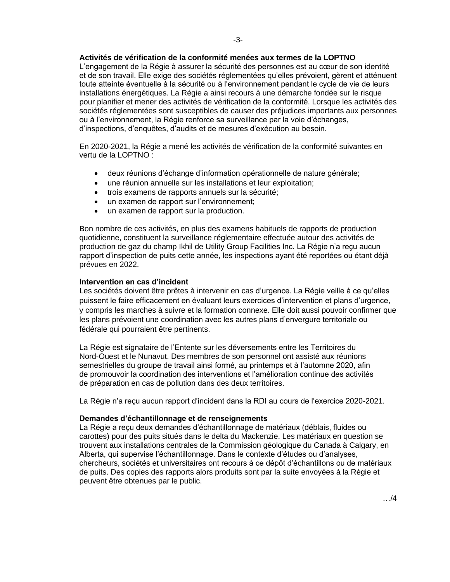#### **Activités de vérification de la conformité menées aux termes de la LOPTNO**

L'engagement de la Régie à assurer la sécurité des personnes est au cœur de son identité et de son travail. Elle exige des sociétés réglementées qu'elles prévoient, gèrent et atténuent toute atteinte éventuelle à la sécurité ou à l'environnement pendant le cycle de vie de leurs installations énergétiques. La Régie a ainsi recours à une démarche fondée sur le risque pour planifier et mener des activités de vérification de la conformité. Lorsque les activités des sociétés réglementées sont susceptibles de causer des préjudices importants aux personnes ou à l'environnement, la Régie renforce sa surveillance par la voie d'échanges, d'inspections, d'enquêtes, d'audits et de mesures d'exécution au besoin.

En 2020-2021, la Régie a mené les activités de vérification de la conformité suivantes en vertu de la LOPTNO :

- deux réunions d'échange d'information opérationnelle de nature générale;
- une réunion annuelle sur les installations et leur exploitation;
- trois examens de rapports annuels sur la sécurité;
- un examen de rapport sur l'environnement;
- un examen de rapport sur la production.

Bon nombre de ces activités, en plus des examens habituels de rapports de production quotidienne, constituent la surveillance réglementaire effectuée autour des activités de production de gaz du champ Ikhil de Utility Group Facilities Inc. La Régie n'a reçu aucun rapport d'inspection de puits cette année, les inspections ayant été reportées ou étant déjà prévues en 2022.

#### **Intervention en cas d'incident**

Les sociétés doivent être prêtes à intervenir en cas d'urgence. La Régie veille à ce qu'elles puissent le faire efficacement en évaluant leurs exercices d'intervention et plans d'urgence, y compris les marches à suivre et la formation connexe. Elle doit aussi pouvoir confirmer que les plans prévoient une coordination avec les autres plans d'envergure territoriale ou fédérale qui pourraient être pertinents.

La Régie est signataire de l'Entente sur les déversements entre les Territoires du Nord-Ouest et le Nunavut. Des membres de son personnel ont assisté aux réunions semestrielles du groupe de travail ainsi formé, au printemps et à l'automne 2020, afin de promouvoir la coordination des interventions et l'amélioration continue des activités de préparation en cas de pollution dans des deux territoires.

La Régie n'a reçu aucun rapport d'incident dans la RDI au cours de l'exercice 2020-2021.

#### **Demandes d'échantillonnage et de renseignements**

La Régie a reçu deux demandes d'échantillonnage de matériaux (déblais, fluides ou carottes) pour des puits situés dans le delta du Mackenzie. Les matériaux en question se trouvent aux installations centrales de la Commission géologique du Canada à Calgary, en Alberta, qui supervise l'échantillonnage. Dans le contexte d'études ou d'analyses, chercheurs, sociétés et universitaires ont recours à ce dépôt d'échantillons ou de matériaux de puits. Des copies des rapports alors produits sont par la suite envoyées à la Régie et peuvent être obtenues par le public.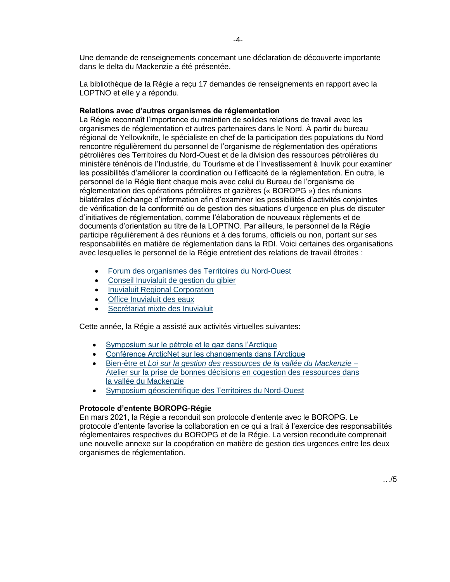Une demande de renseignements concernant une déclaration de découverte importante dans le delta du Mackenzie a été présentée.

La bibliothèque de la Régie a reçu 17 demandes de renseignements en rapport avec la LOPTNO et elle y a répondu.

### **Relations avec d'autres organismes de réglementation**

La Régie reconnaît l'importance du maintien de solides relations de travail avec les organismes de réglementation et autres partenaires dans le Nord. À partir du bureau régional de Yellowknife, le spécialiste en chef de la participation des populations du Nord rencontre régulièrement du personnel de l'organisme de réglementation des opérations pétrolières des Territoires du Nord-Ouest et de la division des ressources pétrolières du ministère ténénois de l'Industrie, du Tourisme et de l'Investissement à Inuvik pour examiner les possibilités d'améliorer la coordination ou l'efficacité de la réglementation. En outre, le personnel de la Régie tient chaque mois avec celui du Bureau de l'organisme de réglementation des opérations pétrolières et gazières (« BOROPG ») des réunions bilatérales d'échange d'information afin d'examiner les possibilités d'activités conjointes de vérification de la conformité ou de gestion des situations d'urgence en plus de discuter d'initiatives de réglementation, comme l'élaboration de nouveaux règlements et de documents d'orientation au titre de la LOPTNO. Par ailleurs, le personnel de la Régie participe régulièrement à des réunions et à des forums, officiels ou non, portant sur ses responsabilités en matière de réglementation dans la RDI. Voici certaines des organisations avec lesquelles le personnel de la Régie entretient des relations de travail étroites :

- [Forum des organismes des Territoires du Nord-Ouest](https://www.nwtboardforum.com/)
- [Conseil Inuvialuit de gestion du gibier](http://www.ifa101.com/node/1705)
- [Inuvialuit Regional Corporation](https://irc.inuvialuit.com/)
- [Office Inuvialuit des eaux](https://www.inuvwb.ca/fr)
- [Secrétariat mixte des Inuvialuit](https://www.jointsecretariat.ca/)

Cette année, la Régie a assisté aux activités virtuelles suivantes:

- [Symposium sur le pétrole et le gaz dans l'Arctique](https://www.canadianinstitute.com/arctic-oil-gas-symposium/)
- [Conférence ArcticNet sur les changements dans l'Arctique](https://arcticnetmeetings.ca/ac2020/fr/)
- Bien-être et *[Loi sur la gestion des ressources de la vallée du Mackenzie](https://mvlwb.com/2021-mvrma-workshop)* Atelier sur [la prise de bonnes décisions en cogestion des ressources dans](https://mvlwb.com/2021-mvrma-workshop)  la vallée [du Mackenzie](https://mvlwb.com/2021-mvrma-workshop)
- [Symposium géoscientifique des Territoires du Nord-Ouest](https://www.nwtgeoscience.ca/news/2020-geoscience-symposium)

## **Protocole d'entente BOROPG-Régie**

En mars 2021, la Régie a reconduit son protocole d'entente avec le BOROPG. Le protocole d'entente favorise la collaboration en ce qui a trait à l'exercice des responsabilités réglementaires respectives du BOROPG et de la Régie. La version reconduite comprenait une nouvelle annexe sur la coopération en matière de gestion des urgences entre les deux organismes de réglementation.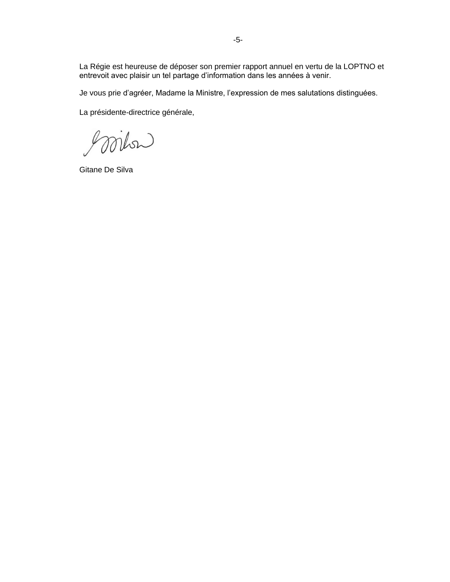La Régie est heureuse de déposer son premier rapport annuel en vertu de la LOPTNO et entrevoit avec plaisir un tel partage d'information dans les années à venir.

Je vous prie d'agréer, Madame la Ministre, l'expression de mes salutations distinguées.

La présidente-directrice générale,

goriton

Gitane De Silva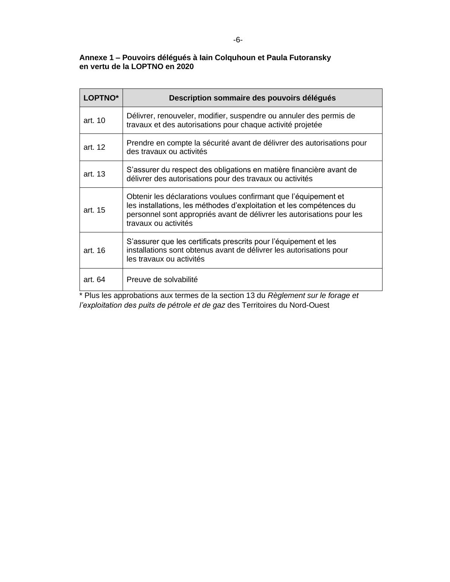## **Annexe 1 – Pouvoirs délégués à Iain Colquhoun et Paula Futoransky en vertu de la LOPTNO en 2020**

| LOPTNO*         | Description sommaire des pouvoirs délégués                                                                                                                                                                                                |
|-----------------|-------------------------------------------------------------------------------------------------------------------------------------------------------------------------------------------------------------------------------------------|
| art. 10         | Délivrer, renouveler, modifier, suspendre ou annuler des permis de<br>travaux et des autorisations pour chaque activité projetée                                                                                                          |
| art. 12         | Prendre en compte la sécurité avant de délivrer des autorisations pour<br>des travaux ou activités                                                                                                                                        |
| art. 13         | S'assurer du respect des obligations en matière financière avant de<br>délivrer des autorisations pour des travaux ou activités                                                                                                           |
| art. 15         | Obtenir les déclarations voulues confirmant que l'équipement et<br>les installations, les méthodes d'exploitation et les compétences du<br>personnel sont appropriés avant de délivrer les autorisations pour les<br>travaux ou activités |
| art. 16         | S'assurer que les certificats prescrits pour l'équipement et les<br>installations sont obtenus avant de délivrer les autorisations pour<br>les travaux ou activités                                                                       |
| art. 64<br>$-1$ | Preuve de solvabilité                                                                                                                                                                                                                     |

\* Plus les approbations aux termes de la section 13 du *Règlement sur le forage et l'exploitation des puits de pétrole et de gaz* des Territoires du Nord-Ouest